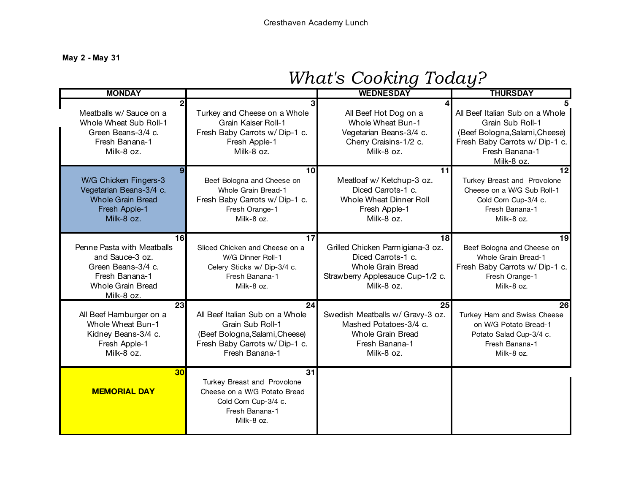**May 2 - May 31**

| <b>MONDAY</b>                                                                                                                                      |                                                                                                                                                 | <b>WEDNESDAY</b>                                                                                                                           | ◡<br><b>THURSDAY</b>                                                                                                                                    |
|----------------------------------------------------------------------------------------------------------------------------------------------------|-------------------------------------------------------------------------------------------------------------------------------------------------|--------------------------------------------------------------------------------------------------------------------------------------------|---------------------------------------------------------------------------------------------------------------------------------------------------------|
|                                                                                                                                                    |                                                                                                                                                 |                                                                                                                                            |                                                                                                                                                         |
| Meatballs w/ Sauce on a<br>Whole Wheat Sub Roll-1<br>Green Beans-3/4 c.<br>Fresh Banana-1<br>Milk-8 oz.                                            | Turkey and Cheese on a Whole<br>Grain Kaiser Roll-1<br>Fresh Baby Carrots w/ Dip-1 c.<br>Fresh Apple-1<br>Milk-8 oz.                            | All Beef Hot Dog on a<br><b>Whole Wheat Bun-1</b><br>Vegetarian Beans-3/4 c.<br>Cherry Craisins-1/2 c.<br>Milk-8 oz.                       | All Beef Italian Sub on a Whole<br>Grain Sub Roll-1<br>(Beef Bologna, Salami, Cheese)<br>Fresh Baby Carrots w/ Dip-1 c.<br>Fresh Banana-1<br>Milk-8 oz. |
| Q<br>W/G Chicken Fingers-3<br>Vegetarian Beans-3/4 c.<br><b>Whole Grain Bread</b><br>Fresh Apple-1<br>Milk-8 oz.                                   | 10<br>Beef Bologna and Cheese on<br>Whole Grain Bread-1<br>Fresh Baby Carrots w/Dip-1 c.<br>Fresh Orange-1<br>Milk-8 oz.                        | 11<br>Meatloaf w/ Ketchup-3 oz.<br>Diced Carrots-1 c.<br>Whole Wheat Dinner Roll<br>Fresh Apple-1<br>Milk-8 oz.                            | 12<br>Turkey Breast and Provolone<br>Cheese on a W/G Sub Roll-1<br>Cold Corn Cup-3/4 c.<br>Fresh Banana-1<br>Milk-8 oz.                                 |
| 16 <sup>l</sup><br>Penne Pasta with Meatballs<br>and Sauce-3 oz.<br>Green Beans-3/4 c.<br>Fresh Banana-1<br><b>Whole Grain Bread</b><br>Milk-8 oz. | 17<br>Sliced Chicken and Cheese on a<br>W/G Dinner Roll-1<br>Celery Sticks w/ Dip-3/4 c.<br>Fresh Banana-1<br>Milk-8 oz.                        | 18<br>Grilled Chicken Parmigiana-3 oz.<br>Diced Carrots-1 c.<br><b>Whole Grain Bread</b><br>Strawberry Applesauce Cup-1/2 c.<br>Milk-8 oz. | 19<br>Beef Bologna and Cheese on<br>Whole Grain Bread-1<br>Fresh Baby Carrots w/ Dip-1 c.<br>Fresh Orange-1<br>Milk-8 oz.                               |
| 23<br>All Beef Hamburger on a<br>Whole Wheat Bun-1<br>Kidney Beans-3/4 c.<br>Fresh Apple-1<br>Milk-8 oz.                                           | 24<br>All Beef Italian Sub on a Whole<br>Grain Sub Roll-1<br>(Beef Bologna, Salami, Cheese)<br>Fresh Baby Carrots w/ Dip-1 c.<br>Fresh Banana-1 | 25<br>Swedish Meatballs w/ Gravy-3 oz.<br>Mashed Potatoes-3/4 c.<br><b>Whole Grain Bread</b><br>Fresh Banana-1<br>Milk-8 oz.               | 26<br>Turkey Ham and Swiss Cheese<br>on W/G Potato Bread-1<br>Potato Salad Cup-3/4 c.<br>Fresh Banana-1<br>Milk-8 oz.                                   |
| 30<br><b>MEMORIAL DAY</b>                                                                                                                          | 31<br>Turkey Breast and Provolone<br>Cheese on a W/G Potato Bread<br>Cold Corn Cup-3/4 c.<br>Fresh Banana-1<br>Milk-8 oz.                       |                                                                                                                                            |                                                                                                                                                         |

## *What's Cooking Today?*